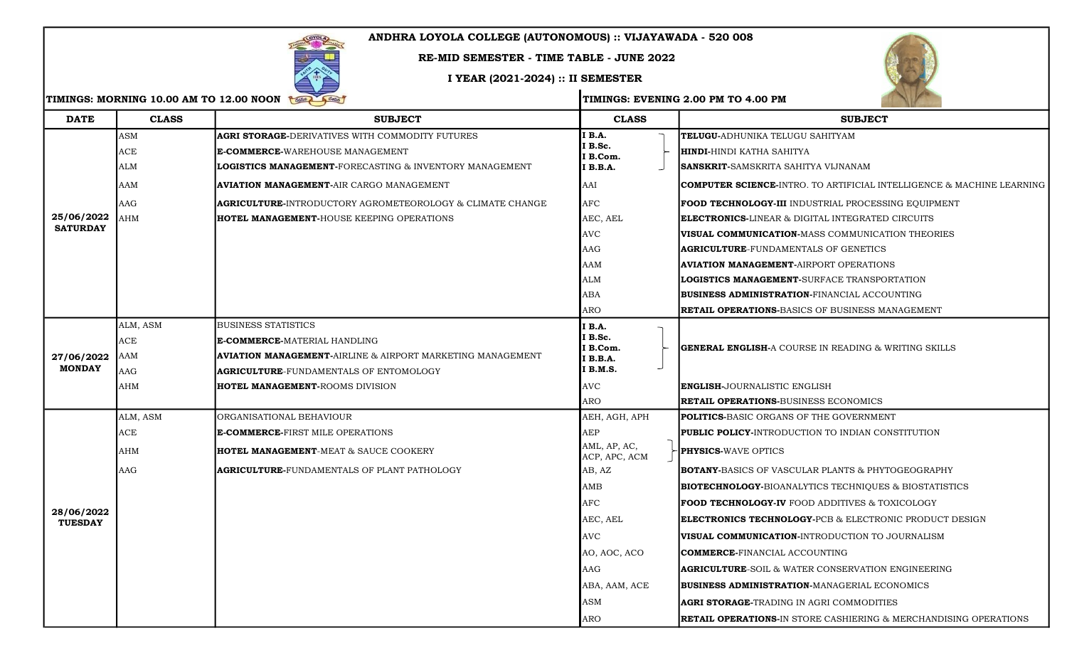## ANDHRA LOYOLA COLLEGE (AUTONOMOUS) :: VIJAYAWADA - 520 008



## RE-MID SEMESTER - TIME TABLE - JUNE 2022

## I YEAR (2021-2024) :: II SEMESTER



TIMINGS: MORNING 10.00 AM TO 12.00 NOON TO A THE TIMINGS: EVENING 2.00 PM TO 4.00 PM

| <b>DATE</b>                   | <b>CLASS</b> | <b>SUBJECT</b>                                                        | <b>CLASS</b>                  | <b>SUBJECT</b>                                                                   |
|-------------------------------|--------------|-----------------------------------------------------------------------|-------------------------------|----------------------------------------------------------------------------------|
| 25/06/2022<br><b>SATURDAY</b> | ASM          | <b>AGRI STORAGE-</b> DERIVATIVES WITH COMMODITY FUTURES               | I B.A.                        | <b>TELUGU-ADHUNIKA TELUGU SAHITYAM</b>                                           |
|                               | ACE          | <b>E-COMMERCE-WAREHOUSE MANAGEMENT</b>                                | B.Sc.<br>B.Com.               | <b>HINDI-HINDI KATHA SAHITYA</b>                                                 |
|                               | ALM          | <b>LOGISTICS MANAGEMENT-FORECASTING &amp; INVENTORY MANAGEMENT</b>    | I B.B.A.                      | <b>SANSKRIT-SAMSKRITA SAHITYA VIJNANAM</b>                                       |
|                               | AAM          | <b>AVIATION MANAGEMENT-AIR CARGO MANAGEMENT</b>                       | AAI                           | <b>COMPUTER SCIENCE-INTRO. TO ARTIFICIAL INTELLIGENCE &amp; MACHINE LEARNING</b> |
|                               | AAG          | <b>AGRICULTURE-INTRODUCTORY AGROMETEOROLOGY &amp; CLIMATE CHANGE</b>  | <b>AFC</b>                    | <b>FOOD TECHNOLOGY-III INDUSTRIAL PROCESSING EQUIPMENT</b>                       |
|                               | AHM          | <b>HOTEL MANAGEMENT-HOUSE KEEPING OPERATIONS</b>                      | AEC, AEL                      | <b>ELECTRONICS-LINEAR &amp; DIGITAL INTEGRATED CIRCUITS</b>                      |
|                               |              |                                                                       | <b>AVC</b>                    | <b>VISUAL COMMUNICATION-MASS COMMUNICATION THEORIES</b>                          |
|                               |              |                                                                       | AAG                           | <b>AGRICULTURE-FUNDAMENTALS OF GENETICS</b>                                      |
|                               |              |                                                                       | AAM                           | <b>AVIATION MANAGEMENT-AIRPORT OPERATIONS</b>                                    |
|                               |              |                                                                       | <b>ALM</b>                    | <b>LOGISTICS MANAGEMENT-SURFACE TRANSPORTATION</b>                               |
|                               |              |                                                                       | ABA                           | <b>BUSINESS ADMINISTRATION-FINANCIAL ACCOUNTING</b>                              |
|                               |              |                                                                       | <b>ARO</b>                    | <b>RETAIL OPERATIONS-BASICS OF BUSINESS MANAGEMENT</b>                           |
| 27/06/2022<br><b>MONDAY</b>   | ALM, ASM     | <b>BUSINESS STATISTICS</b>                                            | <b>I</b> B.A.                 | <b>GENERAL ENGLISH-A COURSE IN READING &amp; WRITING SKILLS</b>                  |
|                               | ACE          | E-COMMERCE-MATERIAL HANDLING                                          | I B.Sc.<br>I B.Com.           |                                                                                  |
|                               | AAM          | <b>AVIATION MANAGEMENT-AIRLINE &amp; AIRPORT MARKETING MANAGEMENT</b> | <b>I</b> B.B.A.               |                                                                                  |
|                               | AAG          | <b>AGRICULTURE-FUNDAMENTALS OF ENTOMOLOGY</b>                         | I B.M.S.                      |                                                                                  |
|                               | AHM          | <b>HOTEL MANAGEMENT-ROOMS DIVISION</b>                                | <b>AVC</b>                    | <b>ENGLISH-JOURNALISTIC ENGLISH</b>                                              |
|                               |              |                                                                       | <b>ARO</b>                    | <b>RETAIL OPERATIONS-BUSINESS ECONOMICS</b>                                      |
| 28/06/2022<br><b>TUESDAY</b>  | ALM, ASM     | ORGANISATIONAL BEHAVIOUR                                              | AEH, AGH, APH                 | <b>POLITICS-BASIC ORGANS OF THE GOVERNMENT</b>                                   |
|                               | ACE          | <b>E-COMMERCE-FIRST MILE OPERATIONS</b>                               | <b>AEP</b>                    | <b>PUBLIC POLICY-INTRODUCTION TO INDIAN CONSTITUTION</b>                         |
|                               | AHM          | <b>HOTEL MANAGEMENT-MEAT &amp; SAUCE COOKERY</b>                      | AML, AP, AC,<br>ACP, APC, ACM | <b>PHYSICS-WAVE OPTICS</b>                                                       |
|                               | AAG          | <b>AGRICULTURE-FUNDAMENTALS OF PLANT PATHOLOGY</b>                    | AB, AZ                        | <b>BOTANY-BASICS OF VASCULAR PLANTS &amp; PHYTOGEOGRAPHY</b>                     |
|                               |              |                                                                       | AMB                           | <b>BIOTECHNOLOGY-BIOANALYTICS TECHNIQUES &amp; BIOSTATISTICS</b>                 |
|                               |              |                                                                       | <b>AFC</b>                    | <b>FOOD TECHNOLOGY-IV FOOD ADDITIVES &amp; TOXICOLOGY</b>                        |
|                               |              |                                                                       | AEC, AEL                      | ELECTRONICS TECHNOLOGY-PCB & ELECTRONIC PRODUCT DESIGN                           |
|                               |              |                                                                       | <b>AVC</b>                    | <b>VISUAL COMMUNICATION-INTRODUCTION TO JOURNALISM</b>                           |
|                               |              |                                                                       | AO, AOC, ACO                  | <b>COMMERCE-FINANCIAL ACCOUNTING</b>                                             |
|                               |              |                                                                       | AAG                           | <b>AGRICULTURE-</b> SOIL & WATER CONSERVATION ENGINEERING                        |
|                               |              |                                                                       | ABA, AAM, ACE                 | <b>BUSINESS ADMINISTRATION-MANAGERIAL ECONOMICS</b>                              |
|                               |              |                                                                       | ASM                           | <b>AGRI STORAGE-</b> TRADING IN AGRI COMMODITIES                                 |
|                               |              |                                                                       | <b>ARO</b>                    | <b>RETAIL OPERATIONS-IN STORE CASHIERING &amp; MERCHANDISING OPERATIONS</b>      |